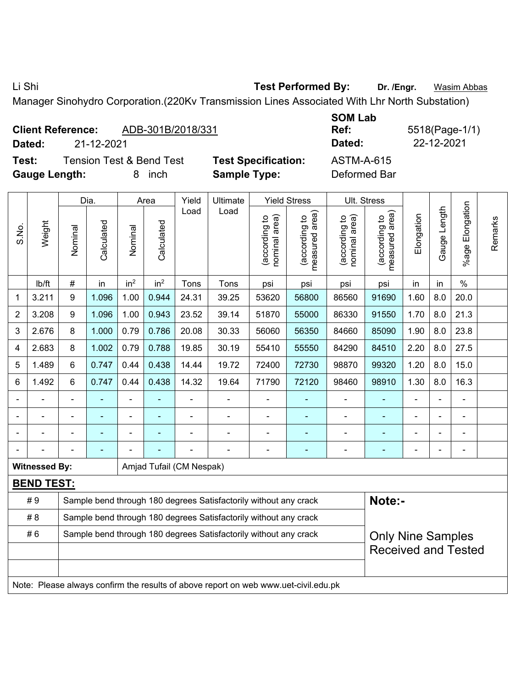Li Shi **Test Performed By: Dr. /Engr.** Wasim Abbas

Manager Sinohydro Corporation.(220Kv Transmission Lines Associated With Lhr North Substation)

|  | <b>Client Reference:</b> | ADB-301B/2018/331 |
|--|--------------------------|-------------------|
|--|--------------------------|-------------------|

**Dated:** 21-12-2021 **Dated:** 22-12-2021

**Test:** Tension Test & Bend Test **Test Specification:** ASTM-A-615 **Gauge Length:** 8 inch **Sample Type:** Deformed Bar

**SOM Lab Ref:** 5518(Page-1/1)

|       |                      | <b>Yield Stress</b> |            |                 |                                                                                    |                          |                                                                                     |                                |                                 |                                |                                 |                |              |                       |         |
|-------|----------------------|---------------------|------------|-----------------|------------------------------------------------------------------------------------|--------------------------|-------------------------------------------------------------------------------------|--------------------------------|---------------------------------|--------------------------------|---------------------------------|----------------|--------------|-----------------------|---------|
|       |                      |                     | Dia.       |                 | Area                                                                               | Yield                    | Ultimate                                                                            |                                |                                 |                                | Ult. Stress                     |                |              |                       |         |
| S.No. | Weight               | Nominal             | Calculated | Nominal         | Calculated                                                                         | Load                     | Load                                                                                | (according to<br>nominal area) | (according to<br>measured area) | nominal area)<br>(according to | (according to<br>measured area) | Elongation     | Gauge Length | Elongation<br>$%$ age | Remarks |
|       | Ib/ft                | $\#$                | in         | in <sup>2</sup> | in <sup>2</sup>                                                                    | Tons                     | Tons                                                                                | psi                            | psi                             | psi                            | psi                             | in             | in           | $\%$                  |         |
| 1     | 3.211                | $\boldsymbol{9}$    | 1.096      | 1.00            | 0.944                                                                              | 24.31                    | 39.25                                                                               | 53620                          | 56800                           | 86560                          | 91690                           | 1.60           | 8.0          | 20.0                  |         |
| 2     | 3.208                | 9                   | 1.096      | 1.00            | 0.943                                                                              | 23.52                    | 39.14                                                                               | 51870                          | 55000                           | 86330                          | 91550                           | 1.70           | 8.0          | 21.3                  |         |
| 3     | 2.676                | 8                   | 1.000      | 0.79            | 0.786                                                                              | 20.08                    | 30.33                                                                               | 56060                          | 56350                           | 84660                          | 85090                           | 1.90           | 8.0          | 23.8                  |         |
| 4     | 2.683                | 8                   | 1.002      | 0.79            | 0.788                                                                              | 19.85                    | 30.19                                                                               | 55410                          | 55550                           | 84290                          | 84510                           | 2.20           | 8.0          | 27.5                  |         |
| 5     | 1.489                | $6\phantom{1}$      | 0.747      | 0.44            | 0.438                                                                              | 14.44                    | 19.72                                                                               | 72400                          | 72730                           | 98870                          | 99320                           | 1.20           | 8.0          | 15.0                  |         |
| 6     | 1.492                | $6\phantom{1}$      | 0.747      | 0.44            | 0.438<br>14.32<br>19.64<br>72120<br>98460<br>98910<br>1.30<br>8.0<br>16.3<br>71790 |                          |                                                                                     |                                |                                 |                                |                                 |                |              |                       |         |
|       |                      |                     |            |                 |                                                                                    |                          |                                                                                     |                                |                                 |                                |                                 |                |              |                       |         |
|       |                      |                     | ä,         | ÷,              |                                                                                    | $\blacksquare$           | ÷,                                                                                  | $\blacksquare$                 | $\blacksquare$                  | ÷                              | $\blacksquare$                  | $\blacksquare$ |              | $\blacksquare$        |         |
|       |                      |                     | ÷,         | Ĭ.              |                                                                                    | ÷                        | $\blacksquare$                                                                      | $\overline{a}$                 | $\blacksquare$                  | ÷                              | $\blacksquare$                  | Ē,             |              | $\blacksquare$        |         |
|       |                      |                     |            |                 |                                                                                    |                          |                                                                                     |                                | $\blacksquare$                  | $\blacksquare$                 | $\blacksquare$                  | -              |              | $\blacksquare$        |         |
|       | <b>Witnessed By:</b> |                     |            |                 |                                                                                    | Amjad Tufail (CM Nespak) |                                                                                     |                                |                                 |                                |                                 |                |              |                       |         |
|       | <b>BEND TEST:</b>    |                     |            |                 |                                                                                    |                          |                                                                                     |                                |                                 |                                |                                 |                |              |                       |         |
|       | #9                   |                     |            |                 |                                                                                    |                          | Sample bend through 180 degrees Satisfactorily without any crack                    |                                |                                 |                                | Note:-                          |                |              |                       |         |
|       | #8                   |                     |            |                 |                                                                                    |                          | Sample bend through 180 degrees Satisfactorily without any crack                    |                                |                                 |                                |                                 |                |              |                       |         |
|       | #6                   |                     |            |                 |                                                                                    |                          | Sample bend through 180 degrees Satisfactorily without any crack                    |                                |                                 |                                | <b>Only Nine Samples</b>        |                |              |                       |         |
|       |                      |                     |            |                 |                                                                                    |                          |                                                                                     |                                |                                 |                                | <b>Received and Tested</b>      |                |              |                       |         |
|       |                      |                     |            |                 |                                                                                    |                          |                                                                                     |                                |                                 |                                |                                 |                |              |                       |         |
|       |                      |                     |            |                 |                                                                                    |                          | Note: Please always confirm the results of above report on web www.uet-civil.edu.pk |                                |                                 |                                |                                 |                |              |                       |         |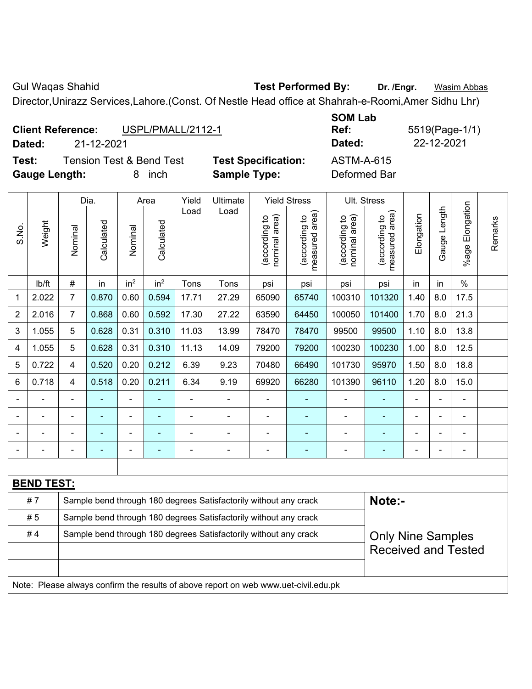Gul Waqas Shahid **Test Performed By:** Dr. /Engr. **Wasim Abbas** Director,Unirazz Services,Lahore.(Const. Of Nestle Head office at Shahrah-e-Roomi,Amer Sidhu Lhr)

|                          | Director, Unirazz Services, Lahore. (Const. Of Nestle Head office at Shahrah-e-Roomi, Amer Sidhu Lhr) |                   |                            |                   |                |  |  |  |  |  |  |  |  |  |
|--------------------------|-------------------------------------------------------------------------------------------------------|-------------------|----------------------------|-------------------|----------------|--|--|--|--|--|--|--|--|--|
|                          |                                                                                                       |                   |                            | <b>SOM Lab</b>    |                |  |  |  |  |  |  |  |  |  |
| <b>Client Reference:</b> |                                                                                                       | USPL/PMALL/2112-1 |                            | Ref:              | 5519(Page-1/1) |  |  |  |  |  |  |  |  |  |
| Dated:                   | 21-12-2021                                                                                            |                   |                            | Dated:            | 22-12-2021     |  |  |  |  |  |  |  |  |  |
| Test:                    | <b>Tension Test &amp; Bend Test</b>                                                                   |                   | <b>Test Specification:</b> | <b>ASTM-A-615</b> |                |  |  |  |  |  |  |  |  |  |
| <b>Gauge Length:</b>     |                                                                                                       | inch<br>8         | <b>Sample Type:</b>        | Deformed Bar      |                |  |  |  |  |  |  |  |  |  |

|                |                                                                                     | Dia.<br>Area                                                               |            |                 |                                                                                                                                      | Yield | Ultimate                                                         |                                | <b>Yield Stress</b>             | Ult. Stress                    |                                 |            |              |                       |         |
|----------------|-------------------------------------------------------------------------------------|----------------------------------------------------------------------------|------------|-----------------|--------------------------------------------------------------------------------------------------------------------------------------|-------|------------------------------------------------------------------|--------------------------------|---------------------------------|--------------------------------|---------------------------------|------------|--------------|-----------------------|---------|
| S.No.          | Weight                                                                              | Nominal                                                                    | Calculated | Nominal         | Calculated                                                                                                                           | Load  | Load                                                             | nominal area)<br>(according to | (according to<br>measured area) | nominal area)<br>(according to | (according to<br>measured area) | Elongation | Gauge Length | Elongation<br>$%$ age | Remarks |
|                | lb/ft                                                                               | $\#$                                                                       | in         | in <sup>2</sup> | in <sup>2</sup>                                                                                                                      | Tons  | Tons                                                             | psi                            | psi                             | psi                            | psi                             | in         | in           | $\%$                  |         |
| 1              | 2.022                                                                               | $\overline{7}$                                                             | 0.870      | 0.60            | 0.594                                                                                                                                | 17.71 | 27.29                                                            | 65090                          | 65740                           | 100310                         | 101320                          | 1.40       | 8.0          | 17.5                  |         |
| $\overline{2}$ | 2.016                                                                               | $\overline{7}$                                                             | 0.868      | 0.60            | 0.592                                                                                                                                | 17.30 | 27.22                                                            | 63590                          | 64450                           | 100050                         | 101400                          | 1.70       | 8.0          | 21.3                  |         |
| 3              | 1.055                                                                               | 5                                                                          | 0.628      | 0.31            | 0.310                                                                                                                                | 11.03 | 13.99                                                            | 78470                          | 78470                           | 99500                          | 99500                           | 1.10       | 8.0          | 13.8                  |         |
| 4              | 1.055                                                                               | 5                                                                          | 0.628      | 0.31            | 0.310                                                                                                                                | 11.13 | 14.09                                                            | 79200                          | 79200                           | 100230                         | 100230                          | 1.00       | 8.0          | 12.5                  |         |
| 5              | 0.722                                                                               | 4                                                                          | 0.520      | 0.20            | 0.212                                                                                                                                | 6.39  | 9.23                                                             | 70480                          | 66490                           | 101730                         | 95970                           | 1.50       | 8.0          | 18.8                  |         |
| 6              | 0.718                                                                               | 4                                                                          | 0.518      | 0.20            | 0.211                                                                                                                                | 6.34  | 9.19                                                             | 69920                          | 66280                           | 101390                         | 96110                           | 1.20       | 8.0          | 15.0                  |         |
| $\blacksquare$ |                                                                                     | $\blacksquare$                                                             | ä,         | $\blacksquare$  | ä,<br>$\overline{\phantom{0}}$<br>$\blacksquare$<br>÷,<br>$\blacksquare$<br>$\blacksquare$<br>L,<br>$\blacksquare$<br>$\blacksquare$ |       |                                                                  |                                |                                 |                                |                                 |            |              |                       |         |
|                |                                                                                     |                                                                            |            |                 |                                                                                                                                      |       | $\blacksquare$                                                   | $\blacksquare$                 | ä,                              | $\blacksquare$                 | ۰                               |            |              | $\blacksquare$        |         |
|                |                                                                                     |                                                                            |            |                 |                                                                                                                                      |       |                                                                  | $\blacksquare$                 |                                 | $\blacksquare$                 | $\overline{\phantom{a}}$        |            |              | $\blacksquare$        |         |
|                |                                                                                     |                                                                            |            |                 |                                                                                                                                      |       |                                                                  | $\blacksquare$                 |                                 | $\blacksquare$                 |                                 |            |              | $\blacksquare$        |         |
|                |                                                                                     |                                                                            |            |                 |                                                                                                                                      |       |                                                                  |                                |                                 |                                |                                 |            |              |                       |         |
|                | <b>BEND TEST:</b>                                                                   |                                                                            |            |                 |                                                                                                                                      |       |                                                                  |                                |                                 |                                |                                 |            |              |                       |         |
|                | #7                                                                                  | Note:-<br>Sample bend through 180 degrees Satisfactorily without any crack |            |                 |                                                                                                                                      |       |                                                                  |                                |                                 |                                |                                 |            |              |                       |         |
|                | #5                                                                                  |                                                                            |            |                 |                                                                                                                                      |       | Sample bend through 180 degrees Satisfactorily without any crack |                                |                                 |                                |                                 |            |              |                       |         |
|                | #4                                                                                  |                                                                            |            |                 |                                                                                                                                      |       | Sample bend through 180 degrees Satisfactorily without any crack |                                |                                 |                                | <b>Only Nine Samples</b>        |            |              |                       |         |
|                |                                                                                     |                                                                            |            |                 |                                                                                                                                      |       |                                                                  |                                |                                 |                                | <b>Received and Tested</b>      |            |              |                       |         |
|                |                                                                                     |                                                                            |            |                 |                                                                                                                                      |       |                                                                  |                                |                                 |                                |                                 |            |              |                       |         |
|                | Note: Please always confirm the results of above report on web www.uet-civil.edu.pk |                                                                            |            |                 |                                                                                                                                      |       |                                                                  |                                |                                 |                                |                                 |            |              |                       |         |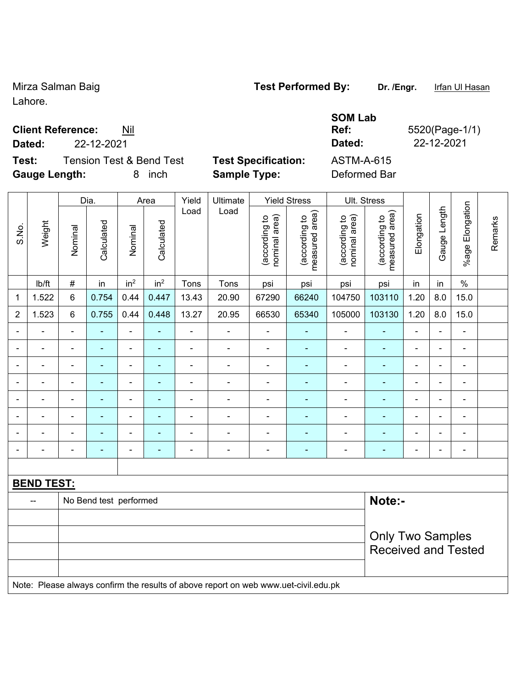Mirza Salman Baig **Test Performed By:** Dr. /Engr. Infan Ul Hasan Lahore.

## **Client Reference:** Nil

**Test:** Tension Test & Bend Test **Test Specification:** ASTM-A-615 **Gauge Length:** 8 inch **Sample Type:** Deformed Bar

**Dated:** 22-12-2021 **Dated:** 22-12-2021

|                |                                                                                     |                | Dia.                   |                                                                                                                                                                                  | Area            | Yield          | Ultimate       |                                | <b>Yield Stress</b>             |                                | Ult. Stress                     |                |                          |                 |         |
|----------------|-------------------------------------------------------------------------------------|----------------|------------------------|----------------------------------------------------------------------------------------------------------------------------------------------------------------------------------|-----------------|----------------|----------------|--------------------------------|---------------------------------|--------------------------------|---------------------------------|----------------|--------------------------|-----------------|---------|
| S.No.          | Weight                                                                              | Nominal        | Calculated             | Nominal                                                                                                                                                                          | Calculated      | Load           | Load           | nominal area)<br>(according to | measured area)<br>(according to | nominal area)<br>(according to | measured area)<br>(according to | Elongation     | Gauge Length             | %age Elongation | Remarks |
|                | Ib/ft                                                                               | $\#$           | in                     | in <sup>2</sup>                                                                                                                                                                  | in <sup>2</sup> | Tons           | Tons           | psi                            | psi                             | psi                            | psi                             | in             | in                       | $\frac{0}{0}$   |         |
| 1              | 1.522                                                                               | 6              | 0.754                  | 0.44                                                                                                                                                                             | 0.447           | 13.43          | 20.90          | 67290                          | 66240                           | 104750                         | 103110                          | 1.20           | 8.0                      | 15.0            |         |
| $\overline{2}$ | 1.523                                                                               | 6              | 0.755                  | 0.44                                                                                                                                                                             | 0.448           | 13.27          | 20.95          | 66530                          | 65340                           | 105000                         | 103130                          | 1.20           | 8.0                      | 15.0            |         |
|                |                                                                                     | $\blacksquare$ |                        | $\blacksquare$                                                                                                                                                                   |                 | ÷.             | $\blacksquare$ | $\blacksquare$                 |                                 |                                |                                 | ä,             | $\overline{\phantom{0}}$ | $\blacksquare$  |         |
|                |                                                                                     | $\blacksquare$ | $\blacksquare$         | $\blacksquare$                                                                                                                                                                   |                 | $\overline{a}$ | $\blacksquare$ | $\blacksquare$                 | ٠                               | $\blacksquare$                 | $\overline{\phantom{0}}$        | $\blacksquare$ | i.                       | $\blacksquare$  |         |
| ۰              |                                                                                     | $\blacksquare$ | $\blacksquare$         | $\blacksquare$                                                                                                                                                                   | ٠               | $\blacksquare$ | $\blacksquare$ | Ē,                             | ٠                               | $\blacksquare$                 | ۰                               | $\blacksquare$ | $\overline{\phantom{0}}$ | $\blacksquare$  |         |
|                |                                                                                     | $\blacksquare$ | $\blacksquare$         | $\overline{\phantom{a}}$<br>$\overline{a}$<br>$\blacksquare$<br>$\blacksquare$<br>$\blacksquare$<br>i.<br>$\overline{\phantom{a}}$<br>$\overline{\phantom{0}}$<br>$\blacksquare$ |                 |                |                |                                |                                 |                                |                                 |                |                          |                 |         |
|                | $\blacksquare$                                                                      | $\blacksquare$ | $\blacksquare$         | $\blacksquare$                                                                                                                                                                   | ä,              | $\blacksquare$ | ÷,             | ä,                             | ä,                              | $\blacksquare$                 | $\blacksquare$                  | $\blacksquare$ | ä,                       | $\blacksquare$  |         |
|                |                                                                                     | $\blacksquare$ | $\blacksquare$         | $\blacksquare$                                                                                                                                                                   |                 | $\blacksquare$ | $\blacksquare$ |                                |                                 |                                | ۰                               | Ē,             |                          | ä,              |         |
|                |                                                                                     |                |                        | $\blacksquare$                                                                                                                                                                   |                 |                |                |                                |                                 |                                | $\blacksquare$                  |                |                          | $\blacksquare$  |         |
|                |                                                                                     |                |                        | ÷                                                                                                                                                                                |                 | $\blacksquare$ | $\blacksquare$ | Ē,                             |                                 |                                |                                 | $\blacksquare$ |                          | $\blacksquare$  |         |
|                |                                                                                     |                |                        |                                                                                                                                                                                  |                 |                |                |                                |                                 |                                |                                 |                |                          |                 |         |
|                | <b>BEND TEST:</b>                                                                   |                |                        |                                                                                                                                                                                  |                 |                |                |                                |                                 |                                |                                 |                |                          |                 |         |
|                |                                                                                     |                | No Bend test performed |                                                                                                                                                                                  |                 |                |                |                                |                                 |                                | Note:-                          |                |                          |                 |         |
|                |                                                                                     |                |                        |                                                                                                                                                                                  |                 |                |                |                                |                                 |                                |                                 |                |                          |                 |         |
|                |                                                                                     |                |                        |                                                                                                                                                                                  |                 |                |                |                                |                                 |                                | <b>Only Two Samples</b>         |                |                          |                 |         |
|                |                                                                                     |                |                        |                                                                                                                                                                                  |                 |                |                |                                |                                 |                                | <b>Received and Tested</b>      |                |                          |                 |         |
|                |                                                                                     |                |                        |                                                                                                                                                                                  |                 |                |                |                                |                                 |                                |                                 |                |                          |                 |         |
|                | Note: Please always confirm the results of above report on web www.uet-civil.edu.pk |                |                        |                                                                                                                                                                                  |                 |                |                |                                |                                 |                                |                                 |                |                          |                 |         |

**SOM Lab Ref:** 5520(Page-1/1)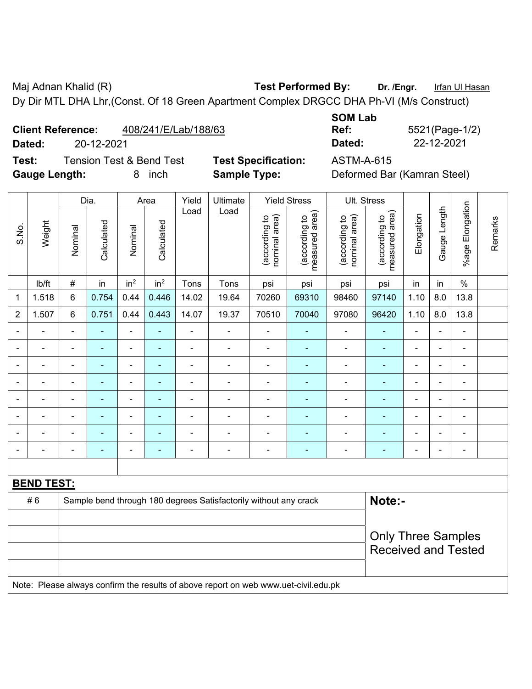Maj Adnan Khalid (R) **Test Performed By:** Dr. /Engr. **Infan Ul Hasan** Dy Dir MTL DHA Lhr,(Const. Of 18 Green Apartment Complex DRGCC DHA Ph-VI (M/s Construct)

**Client Reference:** 408/241/E/Lab/188/63

**Test:** Tension Test & Bend Test **Test Specification:** ASTM-A-615 **Gauge Length:** 8 inch **Sample Type:** Deformed Bar (Kamran Steel)

**SOM Lab Dated:** 20-12-2021 **Dated:** 22-12-2021

**Ref:** 5521(Page-1/2)

|                |                   | Dia.<br>Area   |                |                 |                 | Yield          | Ultimate                                                                            |                                | <b>Yield Stress</b>             |                                | Ult. Stress                     |                |                          |                          |         |
|----------------|-------------------|----------------|----------------|-----------------|-----------------|----------------|-------------------------------------------------------------------------------------|--------------------------------|---------------------------------|--------------------------------|---------------------------------|----------------|--------------------------|--------------------------|---------|
| S.No.          | Weight            | Nominal        | Calculated     | Nominal         | Calculated      | Load           | Load                                                                                | nominal area)<br>(according to | (according to<br>measured area) | nominal area)<br>(according to | measured area)<br>(according to | Elongation     | Gauge Length             | %age Elongation          | Remarks |
|                | lb/ft             | $\#$           | in             | in <sup>2</sup> | in <sup>2</sup> | Tons           | Tons                                                                                | psi                            | psi                             | psi                            | psi                             | in             | in                       | $\frac{0}{0}$            |         |
| 1              | 1.518             | 6              | 0.754          | 0.44            | 0.446           | 14.02          | 19.64                                                                               | 70260                          | 69310                           | 98460                          | 97140                           | 1.10           | 8.0                      | 13.8                     |         |
| $\overline{2}$ | 1.507             | $\,6\,$        | 0.751          | 0.44            | 0.443           | 14.07          | 19.37                                                                               | 70510                          | 70040                           | 97080                          | 96420                           | 1.10           | 8.0                      | 13.8                     |         |
|                |                   |                |                | ä,              |                 | $\overline{a}$ |                                                                                     |                                |                                 |                                |                                 |                | ä,                       | ÷,                       |         |
|                |                   |                | $\blacksquare$ | $\blacksquare$  |                 | $\blacksquare$ | $\blacksquare$                                                                      | $\blacksquare$                 | ۰                               | $\blacksquare$                 | $\blacksquare$                  | $\blacksquare$ |                          | -                        |         |
|                |                   |                |                | ÷               |                 | $\blacksquare$ |                                                                                     | $\blacksquare$                 |                                 | ٠                              |                                 |                |                          | ۳                        |         |
|                |                   |                |                | ÷               |                 |                | $\blacksquare$                                                                      | ä,                             | ÷                               | $\blacksquare$                 |                                 | Ē,             | $\overline{\phantom{0}}$ | $\overline{\phantom{a}}$ |         |
| $\overline{a}$ |                   | $\blacksquare$ | $\blacksquare$ | ÷,              | ٠               | $\blacksquare$ | ÷                                                                                   | $\blacksquare$                 | $\overline{\phantom{0}}$        | $\blacksquare$                 | ٠                               | $\blacksquare$ | ä,                       | $\overline{\phantom{a}}$ |         |
|                |                   | Ē,             | $\blacksquare$ | $\blacksquare$  |                 | $\blacksquare$ | $\blacksquare$                                                                      | L,                             | ÷                               | $\blacksquare$                 | $\blacksquare$                  | Ē,             | Ē,                       | $\blacksquare$           |         |
|                |                   |                | ÷,             | ä,              |                 | ä,             | $\blacksquare$                                                                      | L,                             | ٠                               | $\blacksquare$                 | $\blacksquare$                  | Ē,             |                          | ÷,                       |         |
|                |                   |                |                |                 |                 |                |                                                                                     |                                |                                 |                                | $\blacksquare$                  |                |                          | -                        |         |
|                |                   |                |                |                 |                 |                |                                                                                     |                                |                                 |                                |                                 |                |                          |                          |         |
|                | <b>BEND TEST:</b> |                |                |                 |                 |                |                                                                                     |                                |                                 |                                |                                 |                |                          |                          |         |
|                | #6                |                |                |                 |                 |                | Sample bend through 180 degrees Satisfactorily without any crack                    |                                |                                 |                                | Note:-                          |                |                          |                          |         |
|                |                   |                |                |                 |                 |                |                                                                                     |                                |                                 |                                |                                 |                |                          |                          |         |
|                |                   |                |                |                 |                 |                |                                                                                     |                                |                                 |                                | <b>Only Three Samples</b>       |                |                          |                          |         |
|                |                   |                |                |                 |                 |                |                                                                                     |                                |                                 |                                | <b>Received and Tested</b>      |                |                          |                          |         |
|                |                   |                |                |                 |                 |                |                                                                                     |                                |                                 |                                |                                 |                |                          |                          |         |
|                |                   |                |                |                 |                 |                | Note: Please always confirm the results of above report on web www.uet-civil.edu.pk |                                |                                 |                                |                                 |                |                          |                          |         |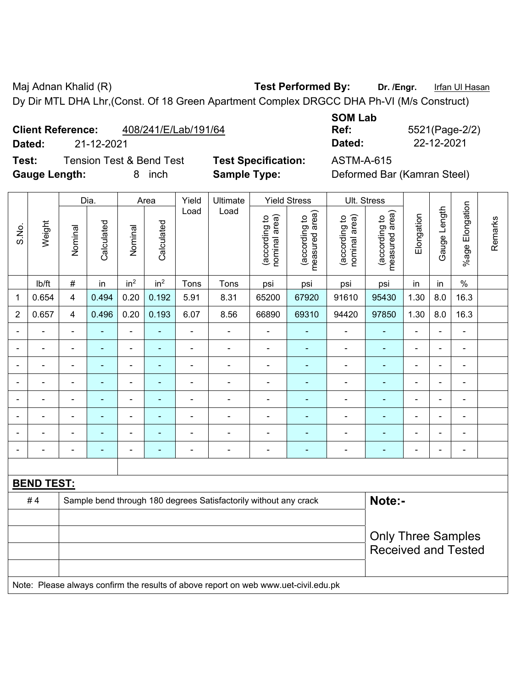Maj Adnan Khalid (R) **Test Performed By:** Dr. /Engr. **Infan Ul Hasan** Dy Dir MTL DHA Lhr,(Const. Of 18 Green Apartment Complex DRGCC DHA Ph-VI (M/s Construct)

**Client Reference:** 408/241/E/Lab/191/64

**Test:** Tension Test & Bend Test **Test Specification:** ASTM-A-615 **Gauge Length:** 8 inch **Sample Type:** Deformed Bar (Kamran Steel)

**SOM Lab Ref:** 5521(Page-2/2) **Dated:** 21-12-2021 **Dated:** 22-12-2021

|                |                   |                                                                  | Dia.           |                          | Area            | Yield          | Ultimate                                                                            |                                | <b>Yield Stress</b>             |                                | Ult. Stress                     |                          |                          |                          |         |
|----------------|-------------------|------------------------------------------------------------------|----------------|--------------------------|-----------------|----------------|-------------------------------------------------------------------------------------|--------------------------------|---------------------------------|--------------------------------|---------------------------------|--------------------------|--------------------------|--------------------------|---------|
| S.No.          | Weight            | Nominal                                                          | Calculated     | Nominal                  | Calculated      | Load           | Load                                                                                | nominal area)<br>(according to | (according to<br>measured area) | (according to<br>nominal area) | (according to<br>measured area) | Elongation               | Gauge Length             | %age Elongation          | Remarks |
|                | Ib/ft             | $\#$                                                             | in             | in <sup>2</sup>          | in <sup>2</sup> | Tons           | Tons                                                                                | psi                            | psi                             | psi                            | psi                             | in                       | in                       | $\frac{0}{0}$            |         |
| 1              | 0.654             | $\overline{4}$                                                   | 0.494          | 0.20                     | 0.192           | 5.91           | 8.31                                                                                | 65200                          | 67920                           | 91610                          | 95430                           | 1.30                     | 8.0                      | 16.3                     |         |
| $\overline{2}$ | 0.657             | $\overline{\mathbf{4}}$                                          | 0.496          | 0.20                     | 0.193           | 6.07           | 8.56                                                                                | 66890                          | 69310                           | 94420                          | 97850                           | 1.30                     | 8.0                      | 16.3                     |         |
|                |                   |                                                                  |                | ä,                       |                 | L,             | ä,                                                                                  | ä,                             |                                 |                                |                                 | L,                       |                          | -                        |         |
|                |                   |                                                                  | $\blacksquare$ | ÷,                       |                 | $\blacksquare$ | $\blacksquare$                                                                      | ä,                             | $\blacksquare$                  | $\blacksquare$                 | $\blacksquare$                  | $\overline{\phantom{a}}$ | $\overline{\phantom{0}}$ | ÷                        |         |
| $\blacksquare$ |                   | $\blacksquare$                                                   | $\blacksquare$ | ä,                       | Ē.              | ä,             | $\blacksquare$                                                                      | L,                             | ۰                               | $\blacksquare$                 | $\blacksquare$                  | $\blacksquare$           | ä,                       | $\blacksquare$           |         |
|                |                   |                                                                  | $\blacksquare$ | ä,                       |                 | ä,             | $\blacksquare$                                                                      | ÷                              | $\blacksquare$                  | $\blacksquare$                 | $\blacksquare$                  | $\overline{\phantom{0}}$ | i.                       | $\overline{\phantom{a}}$ |         |
| $\blacksquare$ |                   | $\blacksquare$                                                   | ä,             | $\blacksquare$           | $\blacksquare$  | $\blacksquare$ | ä,                                                                                  | $\blacksquare$                 | $\blacksquare$                  | $\blacksquare$                 | $\blacksquare$                  | $\blacksquare$           | ä,                       | $\blacksquare$           |         |
|                |                   |                                                                  |                | ÷                        | ٠               | ä,             |                                                                                     | ä,                             | ÷                               |                                |                                 |                          |                          | $\blacksquare$           |         |
|                |                   |                                                                  |                | $\overline{\phantom{0}}$ |                 |                |                                                                                     | $\blacksquare$                 |                                 |                                |                                 |                          |                          | ۳                        |         |
| $\blacksquare$ |                   |                                                                  |                | ÷                        | ۰               | ä,             | $\blacksquare$                                                                      | ä,                             | $\blacksquare$                  | $\blacksquare$                 | $\blacksquare$                  | $\blacksquare$           |                          | ÷                        |         |
|                |                   |                                                                  |                |                          |                 |                |                                                                                     |                                |                                 |                                |                                 |                          |                          |                          |         |
|                | <b>BEND TEST:</b> |                                                                  |                |                          |                 |                |                                                                                     |                                |                                 |                                |                                 |                          |                          |                          |         |
|                | #4                | Sample bend through 180 degrees Satisfactorily without any crack |                |                          |                 |                |                                                                                     |                                |                                 |                                | Note:-                          |                          |                          |                          |         |
|                |                   |                                                                  |                |                          |                 |                |                                                                                     |                                |                                 |                                |                                 |                          |                          |                          |         |
|                |                   |                                                                  |                |                          |                 |                |                                                                                     |                                |                                 |                                | <b>Only Three Samples</b>       |                          |                          |                          |         |
|                |                   |                                                                  |                |                          |                 |                |                                                                                     |                                |                                 |                                | <b>Received and Tested</b>      |                          |                          |                          |         |
|                |                   |                                                                  |                |                          |                 |                |                                                                                     |                                |                                 |                                |                                 |                          |                          |                          |         |
|                |                   |                                                                  |                |                          |                 |                | Note: Please always confirm the results of above report on web www.uet-civil.edu.pk |                                |                                 |                                |                                 |                          |                          |                          |         |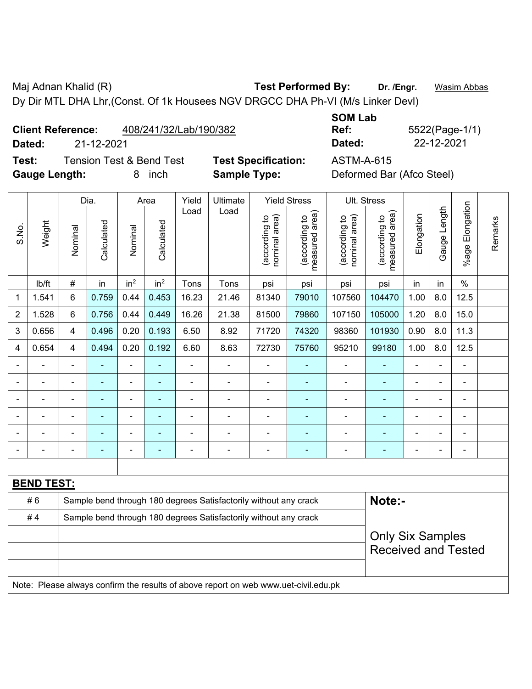Maj Adnan Khalid (R) **Test Performed By:** Dr. /Engr. **Wasim Abbas** Dy Dir MTL DHA Lhr,(Const. Of 1k Housees NGV DRGCC DHA Ph-VI (M/s Linker Devl)

**Client Reference:** 408/241/32/Lab/190/382

**Dated:** 21-12-2021 **Dated:** 22-12-2021

**Test:** Tension Test & Bend Test **Test Specification:** ASTM-A-615 **Gauge Length:** 8 inch **Sample Type:** Deformed Bar (Afco Steel)

**SOM Lab** 

**Ref:** 5522(Page-1/1)

|                |                   |                                                                            | Dia.                     |                 | Area                                                                                                               | Yield          | Ultimate                                                                            |                                | <b>Yield Stress</b>             |                                | Ult. Stress                     |                |                |                 |         |
|----------------|-------------------|----------------------------------------------------------------------------|--------------------------|-----------------|--------------------------------------------------------------------------------------------------------------------|----------------|-------------------------------------------------------------------------------------|--------------------------------|---------------------------------|--------------------------------|---------------------------------|----------------|----------------|-----------------|---------|
| S.No.          | Weight            | Nominal                                                                    | Calculated               | Nominal         | Calculated                                                                                                         | Load           | Load                                                                                | nominal area)<br>(according to | (according to<br>measured area) | nominal area)<br>(according to | (according to<br>measured area) | Elongation     | Gauge Length   | %age Elongation | Remarks |
|                | lb/ft             | #                                                                          | in                       | in <sup>2</sup> | in <sup>2</sup>                                                                                                    | Tons           | Tons                                                                                | psi                            | psi                             | psi                            | psi                             | in             | in             | $\frac{0}{0}$   |         |
| 1              | 1.541             | 6                                                                          | 0.759                    | 0.44            | 0.453                                                                                                              | 16.23          | 21.46                                                                               | 81340                          | 79010                           | 107560                         | 104470                          | 1.00           | 8.0            | 12.5            |         |
| $\overline{2}$ | 1.528             | 6                                                                          | 0.756                    | 0.44            | 0.449                                                                                                              | 16.26          | 21.38                                                                               | 81500                          | 79860                           | 107150                         | 105000                          | 1.20           | 8.0            | 15.0            |         |
| 3              | 0.656             | 4                                                                          | 0.496                    | 0.20            | 0.193                                                                                                              | 6.50           | 8.92                                                                                | 71720                          | 74320                           | 98360                          | 101930                          | 0.90           | 8.0            | 11.3            |         |
| 4              | 0.654             | 4                                                                          | 0.494                    | 0.20            | 0.192                                                                                                              | 6.60           | 8.63                                                                                | 72730                          | 75760                           | 95210                          | 99180                           | 1.00           | 8.0            | 12.5            |         |
|                | $\blacksquare$    | $\blacksquare$                                                             | $\overline{\phantom{0}}$ | ÷,              |                                                                                                                    | $\blacksquare$ | $\frac{1}{2}$                                                                       | $\blacksquare$                 | $\blacksquare$                  | $\blacksquare$                 | ۰                               | $\blacksquare$ | ä,             | $\blacksquare$  |         |
|                | $\blacksquare$    | $\blacksquare$                                                             | ÷                        | ÷               |                                                                                                                    | $\blacksquare$ | ÷                                                                                   | $\blacksquare$                 | $\overline{\phantom{0}}$        | $\blacksquare$                 | ۰                               | $\blacksquare$ | $\blacksquare$ | $\blacksquare$  |         |
|                | $\blacksquare$    | $\blacksquare$                                                             | $\blacksquare$           | ÷,              | ۰<br>$\blacksquare$<br>$\blacksquare$<br>$\blacksquare$<br>$\blacksquare$<br>$\blacksquare$<br>۰<br>$\blacksquare$ |                |                                                                                     |                                |                                 |                                |                                 |                |                |                 |         |
|                |                   |                                                                            |                          | $\blacksquare$  |                                                                                                                    |                | ÷                                                                                   | $\blacksquare$                 | $\blacksquare$                  | $\blacksquare$                 |                                 |                |                | $\blacksquare$  |         |
|                |                   |                                                                            |                          |                 |                                                                                                                    |                |                                                                                     |                                |                                 |                                |                                 |                |                |                 |         |
| Ē,             | $\overline{a}$    | ä,                                                                         | ÷                        | ÷               |                                                                                                                    | $\blacksquare$ | Ē,                                                                                  | -                              | $\blacksquare$                  | $\blacksquare$                 | ÷                               | Ē,             | $\blacksquare$ | ÷               |         |
|                |                   |                                                                            |                          |                 |                                                                                                                    |                |                                                                                     |                                |                                 |                                |                                 |                |                |                 |         |
|                | <b>BEND TEST:</b> |                                                                            |                          |                 |                                                                                                                    |                |                                                                                     |                                |                                 |                                |                                 |                |                |                 |         |
|                | #6                | Sample bend through 180 degrees Satisfactorily without any crack<br>Note:- |                          |                 |                                                                                                                    |                |                                                                                     |                                |                                 |                                |                                 |                |                |                 |         |
|                | #4                |                                                                            |                          |                 |                                                                                                                    |                | Sample bend through 180 degrees Satisfactorily without any crack                    |                                |                                 |                                |                                 |                |                |                 |         |
|                |                   | <b>Only Six Samples</b><br><b>Received and Tested</b>                      |                          |                 |                                                                                                                    |                |                                                                                     |                                |                                 |                                |                                 |                |                |                 |         |
|                |                   |                                                                            |                          |                 |                                                                                                                    |                | Note: Please always confirm the results of above report on web www.uet-civil.edu.pk |                                |                                 |                                |                                 |                |                |                 |         |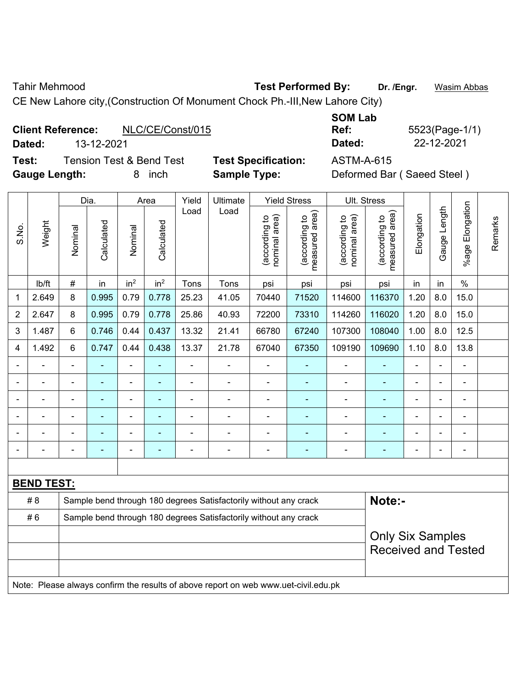Tahir Mehmood **Test Performed By:** Dr. /Engr. **Wasim Abbas** 

CE New Lahore city,(Construction Of Monument Chock Ph.-III,New Lahore City)

# **Client Reference:** NLC/CE/Const/015 **Dated:** 13-12-2021 **Dated:** 22-12-2021

**Test:** Tension Test & Bend Test **Test Specification:** ASTM-A-615 **Gauge Length:** 8 inch **Sample Type:** Deformed Bar ( Saeed Steel )

| Ref:   |  |
|--------|--|
| Dated: |  |

**Ref:** 5523(Page-1/1)

|                |                                                                                     |                | Dia.       |                              | Area            | Yield          | Ultimate                                                         |                                | <b>Yield Stress</b>             |                                | Ult. Stress                     |                          |              |                              |         |
|----------------|-------------------------------------------------------------------------------------|----------------|------------|------------------------------|-----------------|----------------|------------------------------------------------------------------|--------------------------------|---------------------------------|--------------------------------|---------------------------------|--------------------------|--------------|------------------------------|---------|
| S.No.          | Weight                                                                              | Nominal        | Calculated | Nominal                      | Calculated      | Load           | Load                                                             | nominal area)<br>(according to | (according to<br>measured area) | nominal area)<br>(according to | (according to<br>measured area) | Elongation               | Gauge Length | Elongation<br>$%$ age        | Remarks |
|                | lb/ft                                                                               | #              | in         | in <sup>2</sup>              | in <sup>2</sup> | Tons           | Tons                                                             | psi                            | psi                             | psi                            | psi                             | in                       | in           | $\%$                         |         |
| 1              | 2.649                                                                               | 8              | 0.995      | 0.79                         | 0.778           | 25.23          | 41.05                                                            | 70440                          | 71520                           | 114600                         | 116370                          | 1.20                     | 8.0          | 15.0                         |         |
| $\overline{2}$ | 2.647                                                                               | $\bf 8$        | 0.995      | 0.79                         | 0.778           | 25.86          | 40.93                                                            | 72200                          | 73310                           | 114260                         | 116020                          | 1.20                     | 8.0          | 15.0                         |         |
| 3              | 1.487                                                                               | 6              | 0.746      | 0.44                         | 0.437           | 13.32          | 21.41                                                            | 66780                          | 67240                           | 107300                         | 108040                          | 1.00                     | 8.0          | 12.5                         |         |
| $\overline{4}$ | 1.492                                                                               | 6              | 0.747      | 0.44                         | 0.438           | 13.37          | 21.78                                                            | 67040                          | 67350                           | 109190                         | 109690                          | 1.10                     | 8.0          | 13.8                         |         |
|                |                                                                                     |                |            |                              |                 |                |                                                                  | $\blacksquare$                 |                                 |                                |                                 |                          |              |                              |         |
|                |                                                                                     |                | ÷,         | ۰                            | ۰               |                | $\blacksquare$                                                   |                                | ۰                               | $\blacksquare$                 | $\blacksquare$                  | $\overline{\phantom{a}}$ |              | $\blacksquare$               |         |
|                | ÷                                                                                   | ä,             | ä,         | $\blacksquare$               | ä,              | $\blacksquare$ | ÷                                                                | $\blacksquare$                 | ä,                              | $\blacksquare$                 | $\blacksquare$                  | $\blacksquare$           | ä,           | ÷,                           |         |
|                | $\blacksquare$                                                                      |                | ä,         | $\qquad \qquad \blacksquare$ |                 | $\blacksquare$ | $\blacksquare$                                                   |                                |                                 | $\blacksquare$                 | $\blacksquare$                  | $\blacksquare$           |              | $\qquad \qquad \blacksquare$ |         |
|                | $\blacksquare$                                                                      | $\blacksquare$ | ÷,         | ÷,                           | $\blacksquare$  |                | ä,                                                               | ä,                             | ۰                               | $\blacksquare$                 | $\blacksquare$                  | $\blacksquare$           |              | $\blacksquare$               |         |
|                |                                                                                     |                |            | ۰                            |                 |                | ä,                                                               | $\overline{a}$                 |                                 | ٠                              | ٠                               |                          |              | ÷                            |         |
|                |                                                                                     |                |            |                              |                 |                |                                                                  |                                |                                 |                                |                                 |                          |              |                              |         |
|                | <b>BEND TEST:</b>                                                                   |                |            |                              |                 |                |                                                                  |                                |                                 |                                |                                 |                          |              |                              |         |
|                | #8                                                                                  |                |            |                              |                 |                | Sample bend through 180 degrees Satisfactorily without any crack |                                |                                 |                                | Note:-                          |                          |              |                              |         |
|                | #6                                                                                  |                |            |                              |                 |                | Sample bend through 180 degrees Satisfactorily without any crack |                                |                                 |                                |                                 |                          |              |                              |         |
|                |                                                                                     |                |            |                              |                 |                |                                                                  |                                |                                 |                                | <b>Only Six Samples</b>         |                          |              |                              |         |
|                |                                                                                     |                |            |                              |                 |                |                                                                  |                                |                                 |                                | <b>Received and Tested</b>      |                          |              |                              |         |
|                |                                                                                     |                |            |                              |                 |                |                                                                  |                                |                                 |                                |                                 |                          |              |                              |         |
|                | Note: Please always confirm the results of above report on web www.uet-civil.edu.pk |                |            |                              |                 |                |                                                                  |                                |                                 |                                |                                 |                          |              |                              |         |

**SOM Lab**